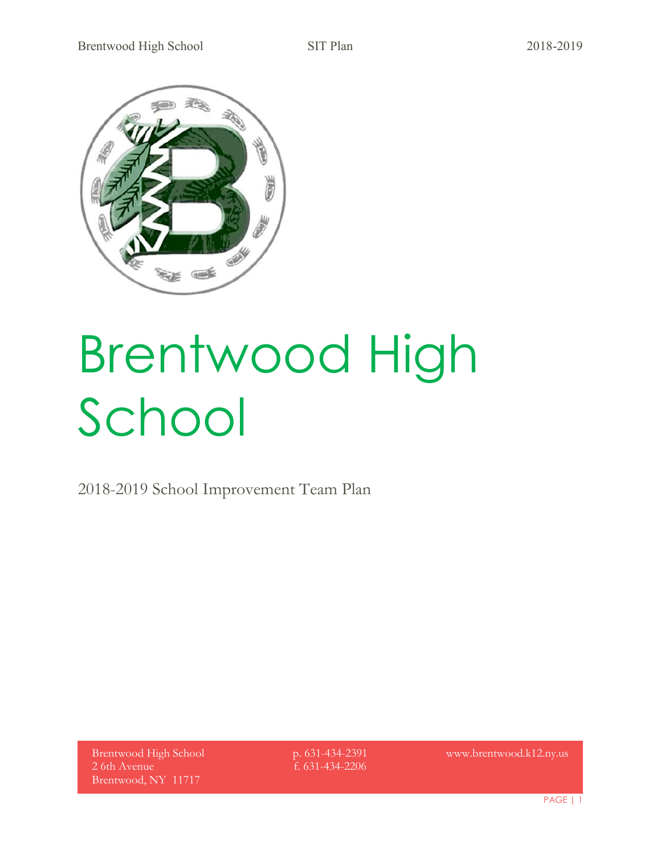

# Brentwood High School

2018-2019 School Improvement Team Plan

Brentwood High School 2 6th Avenue Brentwood, NY 11717

p. 631-434-2391 f. 631-434-2206

www.brentwood.k12.ny.us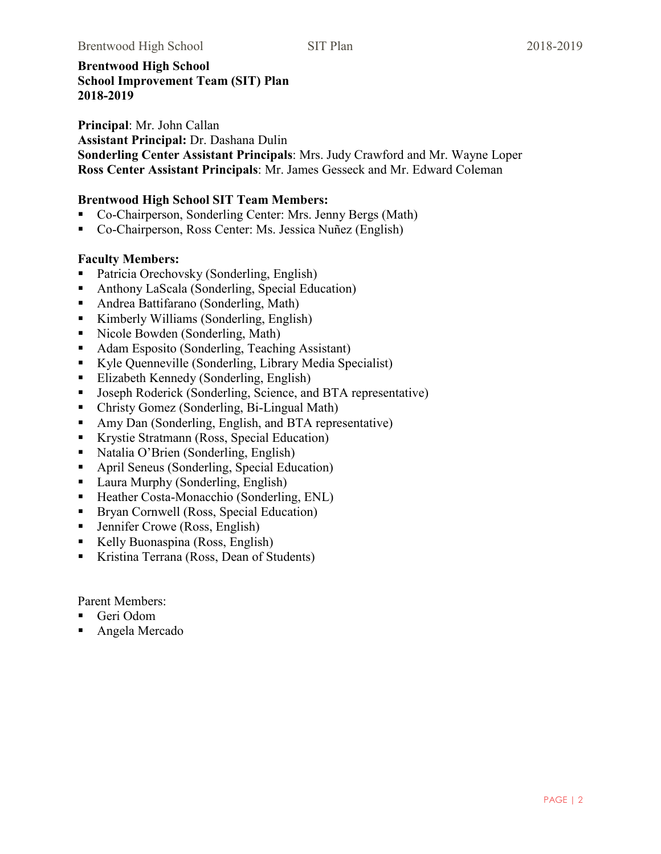#### **Brentwood High School School Improvement Team (SIT) Plan 2018-2019**

**Principal**: Mr. John Callan **Assistant Principal:** Dr. Dashana Dulin **Sonderling Center Assistant Principals**: Mrs. Judy Crawford and Mr. Wayne Loper **Ross Center Assistant Principals**: Mr. James Gesseck and Mr. Edward Coleman

#### **Brentwood High School SIT Team Members:**

- Co-Chairperson, Sonderling Center: Mrs. Jenny Bergs (Math)
- Co-Chairperson, Ross Center: Ms. Jessica Nuñez (English)

## **Faculty Members:**

- Patricia Orechovsky (Sonderling, English)
- Anthony LaScala (Sonderling, Special Education)
- Andrea Battifarano (Sonderling, Math)
- Kimberly Williams (Sonderling, English)
- Nicole Bowden (Sonderling, Math)
- Adam Esposito (Sonderling, Teaching Assistant)
- Kyle Quenneville (Sonderling, Library Media Specialist)
- Elizabeth Kennedy (Sonderling, English)
- Joseph Roderick (Sonderling, Science, and BTA representative)
- Christy Gomez (Sonderling, Bi-Lingual Math)
- Amy Dan (Sonderling, English, and BTA representative)
- Krystie Stratmann (Ross, Special Education)
- Natalia O'Brien (Sonderling, English)
- April Seneus (Sonderling, Special Education)
- Laura Murphy (Sonderling, English)
- Heather Costa-Monacchio (Sonderling, ENL)
- **Bryan Cornwell (Ross, Special Education)**
- Jennifer Crowe (Ross, English)
- Kelly Buonaspina (Ross, English)
- Kristina Terrana (Ross, Dean of Students)

Parent Members:

- Geri Odom
- Angela Mercado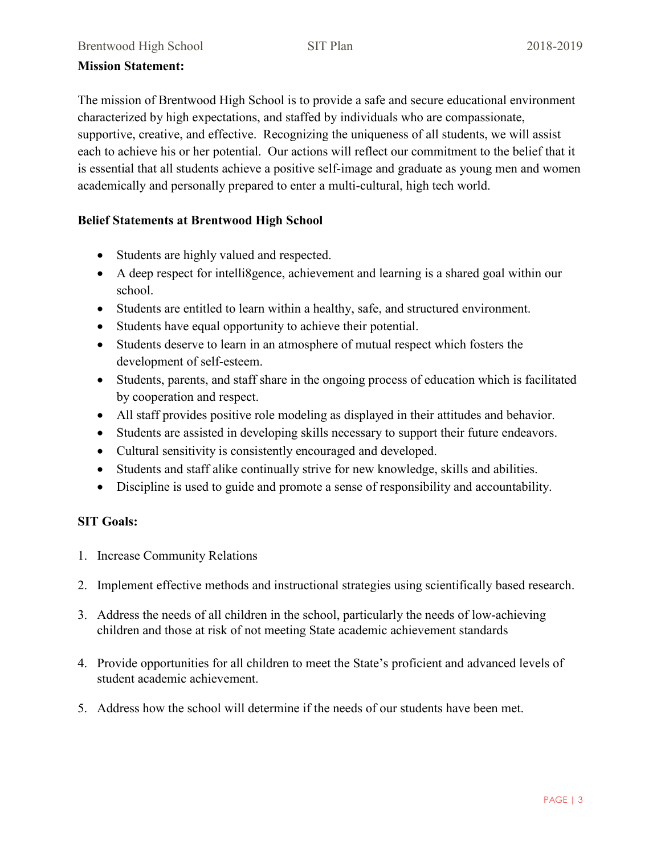#### **Mission Statement:**

The mission of Brentwood High School is to provide a safe and secure educational environment characterized by high expectations, and staffed by individuals who are compassionate, supportive, creative, and effective. Recognizing the uniqueness of all students, we will assist each to achieve his or her potential. Our actions will reflect our commitment to the belief that it is essential that all students achieve a positive self-image and graduate as young men and women academically and personally prepared to enter a multi-cultural, high tech world.

## **Belief Statements at Brentwood High School**

- Students are highly valued and respected.
- A deep respect for intelli8gence, achievement and learning is a shared goal within our school.
- Students are entitled to learn within a healthy, safe, and structured environment.
- Students have equal opportunity to achieve their potential.
- Students deserve to learn in an atmosphere of mutual respect which fosters the development of self-esteem.
- Students, parents, and staff share in the ongoing process of education which is facilitated by cooperation and respect.
- All staff provides positive role modeling as displayed in their attitudes and behavior.
- Students are assisted in developing skills necessary to support their future endeavors.
- Cultural sensitivity is consistently encouraged and developed.
- Students and staff alike continually strive for new knowledge, skills and abilities.
- Discipline is used to guide and promote a sense of responsibility and accountability.

## **SIT Goals:**

- 1. Increase Community Relations
- 2. Implement effective methods and instructional strategies using scientifically based research.
- 3. Address the needs of all children in the school, particularly the needs of low-achieving children and those at risk of not meeting State academic achievement standards
- 4. Provide opportunities for all children to meet the State's proficient and advanced levels of student academic achievement.
- 5. Address how the school will determine if the needs of our students have been met.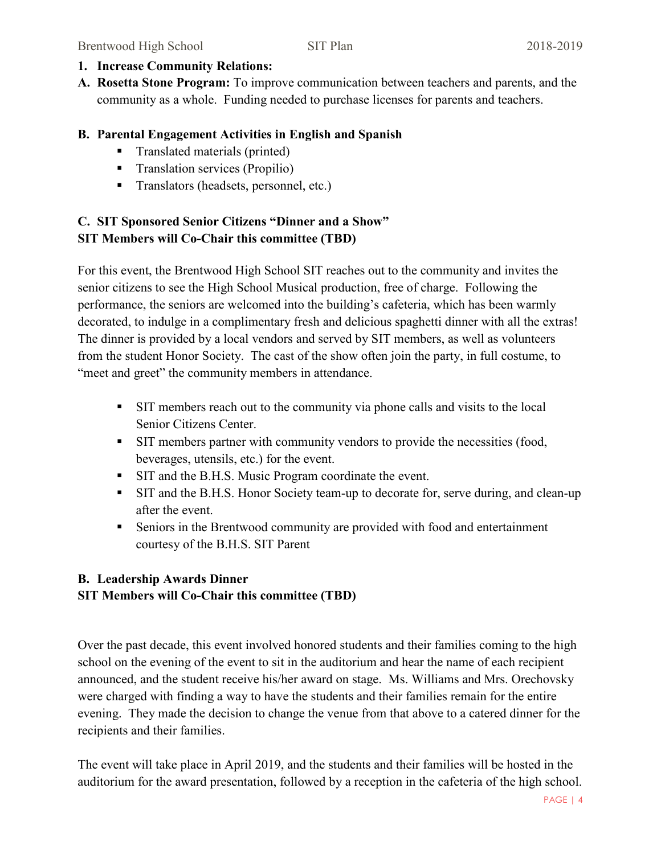- **1. Increase Community Relations:**
- **A. Rosetta Stone Program:** To improve communication between teachers and parents, and the community as a whole. Funding needed to purchase licenses for parents and teachers.

## **B. Parental Engagement Activities in English and Spanish**

- Translated materials (printed)
- **Translation services (Propilio)**
- Translators (headsets, personnel, etc.)

# **C. SIT Sponsored Senior Citizens "Dinner and a Show" SIT Members will Co-Chair this committee (TBD)**

For this event, the Brentwood High School SIT reaches out to the community and invites the senior citizens to see the High School Musical production, free of charge. Following the performance, the seniors are welcomed into the building's cafeteria, which has been warmly decorated, to indulge in a complimentary fresh and delicious spaghetti dinner with all the extras! The dinner is provided by a local vendors and served by SIT members, as well as volunteers from the student Honor Society. The cast of the show often join the party, in full costume, to "meet and greet" the community members in attendance.

- SIT members reach out to the community via phone calls and visits to the local Senior Citizens Center.
- If members partner with community vendors to provide the necessities (food, beverages, utensils, etc.) for the event.
- **SIT and the B.H.S. Music Program coordinate the event.**
- SIT and the B.H.S. Honor Society team-up to decorate for, serve during, and clean-up after the event.
- Seniors in the Brentwood community are provided with food and entertainment courtesy of the B.H.S. SIT Parent

# **B. Leadership Awards Dinner SIT Members will Co-Chair this committee (TBD)**

Over the past decade, this event involved honored students and their families coming to the high school on the evening of the event to sit in the auditorium and hear the name of each recipient announced, and the student receive his/her award on stage. Ms. Williams and Mrs. Orechovsky were charged with finding a way to have the students and their families remain for the entire evening. They made the decision to change the venue from that above to a catered dinner for the recipients and their families.

The event will take place in April 2019, and the students and their families will be hosted in the auditorium for the award presentation, followed by a reception in the cafeteria of the high school.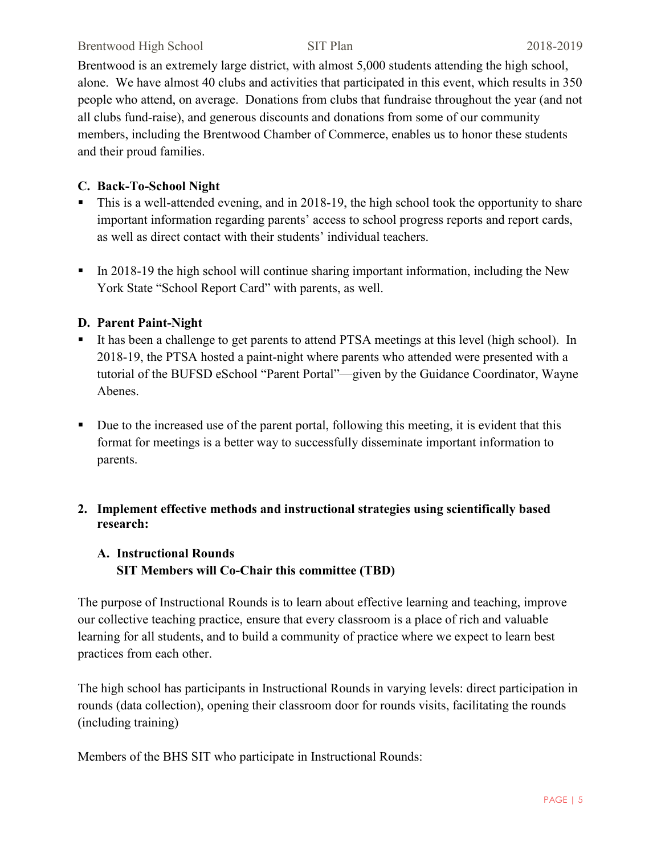#### Brentwood High School SIT Plan 2018-2019

Brentwood is an extremely large district, with almost 5,000 students attending the high school, alone. We have almost 40 clubs and activities that participated in this event, which results in 350 people who attend, on average. Donations from clubs that fundraise throughout the year (and not all clubs fund-raise), and generous discounts and donations from some of our community members, including the Brentwood Chamber of Commerce, enables us to honor these students and their proud families.

## **C. Back-To-School Night**

- This is a well-attended evening, and in 2018-19, the high school took the opportunity to share important information regarding parents' access to school progress reports and report cards, as well as direct contact with their students' individual teachers.
- In 2018-19 the high school will continue sharing important information, including the New York State "School Report Card" with parents, as well.

## **D. Parent Paint-Night**

- It has been a challenge to get parents to attend PTSA meetings at this level (high school). In 2018-19, the PTSA hosted a paint-night where parents who attended were presented with a tutorial of the BUFSD eSchool "Parent Portal"—given by the Guidance Coordinator, Wayne Abenes.
- Due to the increased use of the parent portal, following this meeting, it is evident that this format for meetings is a better way to successfully disseminate important information to parents.

# **2. Implement effective methods and instructional strategies using scientifically based research:**

# **A. Instructional Rounds SIT Members will Co-Chair this committee (TBD)**

The purpose of Instructional Rounds is to learn about effective learning and teaching, improve our collective teaching practice, ensure that every classroom is a place of rich and valuable learning for all students, and to build a community of practice where we expect to learn best practices from each other.

The high school has participants in Instructional Rounds in varying levels: direct participation in rounds (data collection), opening their classroom door for rounds visits, facilitating the rounds (including training)

Members of the BHS SIT who participate in Instructional Rounds: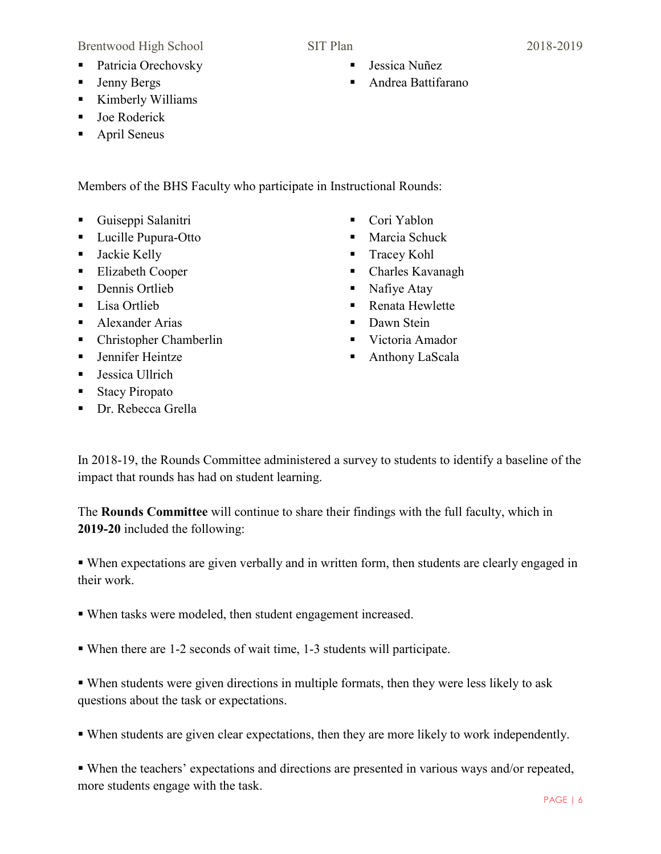Brentwood High School SIT Plan 2018-2019

- Jenny Bergs
- Kimberly Williams
- Joe Roderick
- April Seneus

Members of the BHS Faculty who participate in Instructional Rounds:

- Guiseppi Salanitri
- **Lucille Pupura-Otto**
- Jackie Kelly
- Elizabeth Cooper
- Dennis Ortlieb
- Lisa Ortlieb
- **Alexander Arias**
- Christopher Chamberlin
- **Jennifer Heintze**
- Jessica Ullrich
- Stacy Piropato
- **Dr.** Rebecca Grella
- Cori Yablon
- **Marcia Schuck**
- **Tracey Kohl**
- Charles Kavanagh
- Nafiye Atay
- Renata Hewlette
- Dawn Stein
- Victoria Amador
- Anthony LaScala

In 2018-19, the Rounds Committee administered a survey to students to identify a baseline of the impact that rounds has had on student learning.

The **Rounds Committee** will continue to share their findings with the full faculty, which in **2019-20** included the following:

 When expectations are given verbally and in written form, then students are clearly engaged in their work.

- When tasks were modeled, then student engagement increased.
- When there are 1-2 seconds of wait time, 1-3 students will participate.

 When students were given directions in multiple formats, then they were less likely to ask questions about the task or expectations.

When students are given clear expectations, then they are more likely to work independently.

 When the teachers' expectations and directions are presented in various ways and/or repeated, more students engage with the task.

- 
- Jessica Nuñez
- Andrea Battifarano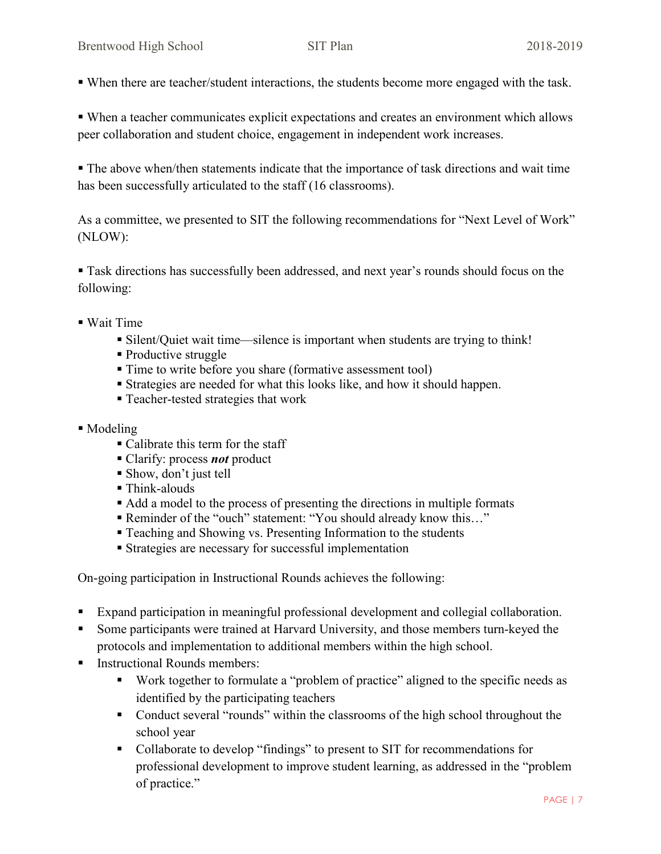When there are teacher/student interactions, the students become more engaged with the task.

 When a teacher communicates explicit expectations and creates an environment which allows peer collaboration and student choice, engagement in independent work increases.

 The above when/then statements indicate that the importance of task directions and wait time has been successfully articulated to the staff (16 classrooms).

As a committee, we presented to SIT the following recommendations for "Next Level of Work" (NLOW):

 Task directions has successfully been addressed, and next year's rounds should focus on the following:

- Wait Time
	- Silent/Quiet wait time—silence is important when students are trying to think!
	- Productive struggle
	- Time to write before you share (formative assessment tool)
	- Strategies are needed for what this looks like, and how it should happen.
	- Teacher-tested strategies that work
- Modeling
	- Calibrate this term for the staff
	- Clarify: process *not* product
	- Show, don't just tell
	- Think-alouds
	- Add a model to the process of presenting the directions in multiple formats
	- Reminder of the "ouch" statement: "You should already know this..."
	- Teaching and Showing vs. Presenting Information to the students
	- **Strategies are necessary for successful implementation**

On-going participation in Instructional Rounds achieves the following:

- Expand participation in meaningful professional development and collegial collaboration.
- Some participants were trained at Harvard University, and those members turn-keyed the protocols and implementation to additional members within the high school.
- Instructional Rounds members:
	- Work together to formulate a "problem of practice" aligned to the specific needs as identified by the participating teachers
	- Conduct several "rounds" within the classrooms of the high school throughout the school year
	- Collaborate to develop "findings" to present to SIT for recommendations for professional development to improve student learning, as addressed in the "problem of practice."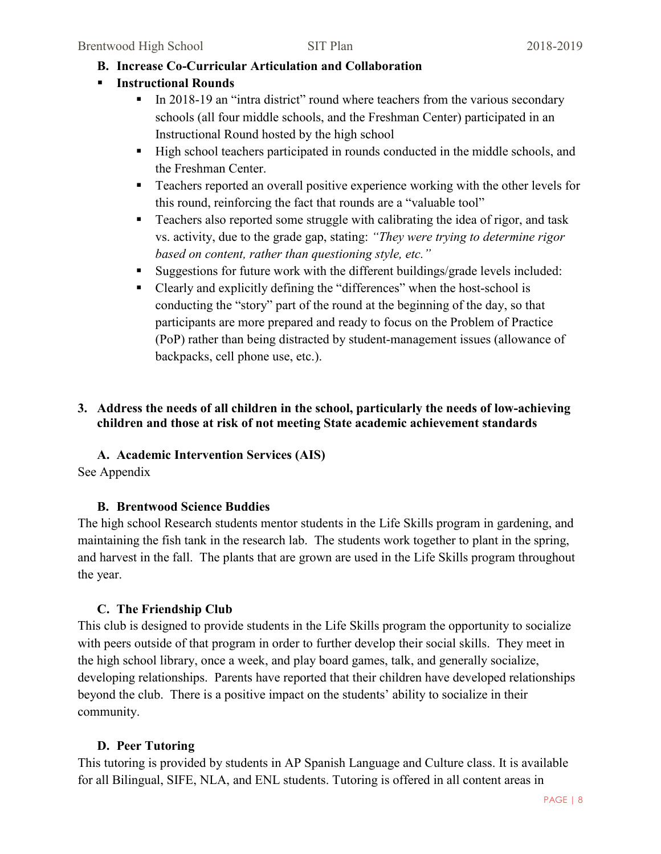# **B. Increase Co-Curricular Articulation and Collaboration**

- **Instructional Rounds** 
	- In 2018-19 an "intra district" round where teachers from the various secondary schools (all four middle schools, and the Freshman Center) participated in an Instructional Round hosted by the high school
	- High school teachers participated in rounds conducted in the middle schools, and the Freshman Center.
	- Teachers reported an overall positive experience working with the other levels for this round, reinforcing the fact that rounds are a "valuable tool"
	- **Teachers also reported some struggle with calibrating the idea of rigor, and task** vs. activity, due to the grade gap, stating: *"They were trying to determine rigor based on content, rather than questioning style, etc."*
	- Suggestions for future work with the different buildings/grade levels included:
	- Clearly and explicitly defining the "differences" when the host-school is conducting the "story" part of the round at the beginning of the day, so that participants are more prepared and ready to focus on the Problem of Practice (PoP) rather than being distracted by student-management issues (allowance of backpacks, cell phone use, etc.).

## **3. Address the needs of all children in the school, particularly the needs of low-achieving children and those at risk of not meeting State academic achievement standards**

# **A. Academic Intervention Services (AIS)**

See Appendix

# **B. Brentwood Science Buddies**

The high school Research students mentor students in the Life Skills program in gardening, and maintaining the fish tank in the research lab. The students work together to plant in the spring, and harvest in the fall. The plants that are grown are used in the Life Skills program throughout the year.

# **C. The Friendship Club**

This club is designed to provide students in the Life Skills program the opportunity to socialize with peers outside of that program in order to further develop their social skills. They meet in the high school library, once a week, and play board games, talk, and generally socialize, developing relationships. Parents have reported that their children have developed relationships beyond the club. There is a positive impact on the students' ability to socialize in their community.

# **D. Peer Tutoring**

This tutoring is provided by students in AP Spanish Language and Culture class. It is available for all Bilingual, SIFE, NLA, and ENL students. Tutoring is offered in all content areas in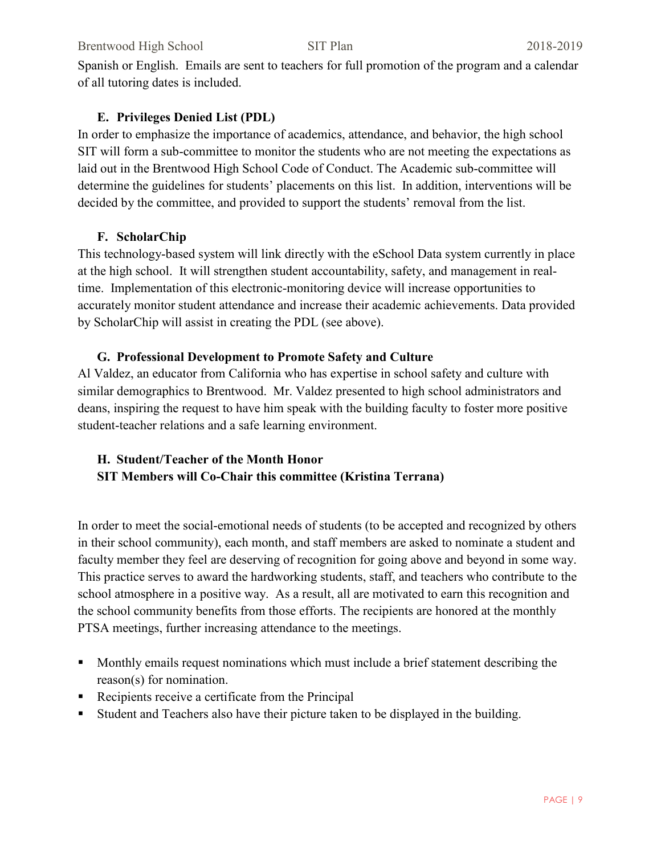Spanish or English. Emails are sent to teachers for full promotion of the program and a calendar of all tutoring dates is included.

# **E. Privileges Denied List (PDL)**

In order to emphasize the importance of academics, attendance, and behavior, the high school SIT will form a sub-committee to monitor the students who are not meeting the expectations as laid out in the Brentwood High School Code of Conduct. The Academic sub-committee will determine the guidelines for students' placements on this list. In addition, interventions will be decided by the committee, and provided to support the students' removal from the list.

# **F. ScholarChip**

This technology-based system will link directly with the eSchool Data system currently in place at the high school. It will strengthen student accountability, safety, and management in realtime. Implementation of this electronic-monitoring device will increase opportunities to accurately monitor student attendance and increase their academic achievements. Data provided by ScholarChip will assist in creating the PDL (see above).

# **G. Professional Development to Promote Safety and Culture**

Al Valdez, an educator from California who has expertise in school safety and culture with similar demographics to Brentwood. Mr. Valdez presented to high school administrators and deans, inspiring the request to have him speak with the building faculty to foster more positive student-teacher relations and a safe learning environment.

# **H. Student/Teacher of the Month Honor SIT Members will Co-Chair this committee (Kristina Terrana)**

In order to meet the social-emotional needs of students (to be accepted and recognized by others in their school community), each month, and staff members are asked to nominate a student and faculty member they feel are deserving of recognition for going above and beyond in some way. This practice serves to award the hardworking students, staff, and teachers who contribute to the school atmosphere in a positive way. As a result, all are motivated to earn this recognition and the school community benefits from those efforts. The recipients are honored at the monthly PTSA meetings, further increasing attendance to the meetings.

- **Monthly emails request nominations which must include a brief statement describing the** reason(s) for nomination.
- Recipients receive a certificate from the Principal
- Student and Teachers also have their picture taken to be displayed in the building.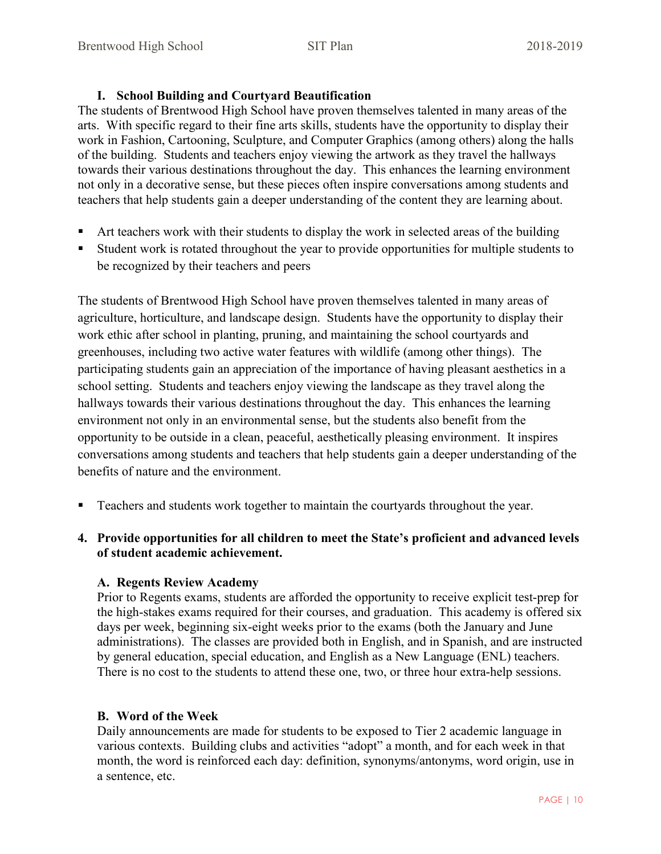#### **I. School Building and Courtyard Beautification**

The students of Brentwood High School have proven themselves talented in many areas of the arts. With specific regard to their fine arts skills, students have the opportunity to display their work in Fashion, Cartooning, Sculpture, and Computer Graphics (among others) along the halls of the building. Students and teachers enjoy viewing the artwork as they travel the hallways towards their various destinations throughout the day. This enhances the learning environment not only in a decorative sense, but these pieces often inspire conversations among students and teachers that help students gain a deeper understanding of the content they are learning about.

- Art teachers work with their students to display the work in selected areas of the building
- Student work is rotated throughout the year to provide opportunities for multiple students to be recognized by their teachers and peers

The students of Brentwood High School have proven themselves talented in many areas of agriculture, horticulture, and landscape design. Students have the opportunity to display their work ethic after school in planting, pruning, and maintaining the school courtyards and greenhouses, including two active water features with wildlife (among other things). The participating students gain an appreciation of the importance of having pleasant aesthetics in a school setting. Students and teachers enjoy viewing the landscape as they travel along the hallways towards their various destinations throughout the day. This enhances the learning environment not only in an environmental sense, but the students also benefit from the opportunity to be outside in a clean, peaceful, aesthetically pleasing environment. It inspires conversations among students and teachers that help students gain a deeper understanding of the benefits of nature and the environment.

- Teachers and students work together to maintain the courtyards throughout the year.
- **4. Provide opportunities for all children to meet the State's proficient and advanced levels of student academic achievement.**

## **A. Regents Review Academy**

Prior to Regents exams, students are afforded the opportunity to receive explicit test-prep for the high-stakes exams required for their courses, and graduation. This academy is offered six days per week, beginning six-eight weeks prior to the exams (both the January and June administrations). The classes are provided both in English, and in Spanish, and are instructed by general education, special education, and English as a New Language (ENL) teachers. There is no cost to the students to attend these one, two, or three hour extra-help sessions.

# **B. Word of the Week**

Daily announcements are made for students to be exposed to Tier 2 academic language in various contexts. Building clubs and activities "adopt" a month, and for each week in that month, the word is reinforced each day: definition, synonyms/antonyms, word origin, use in a sentence, etc.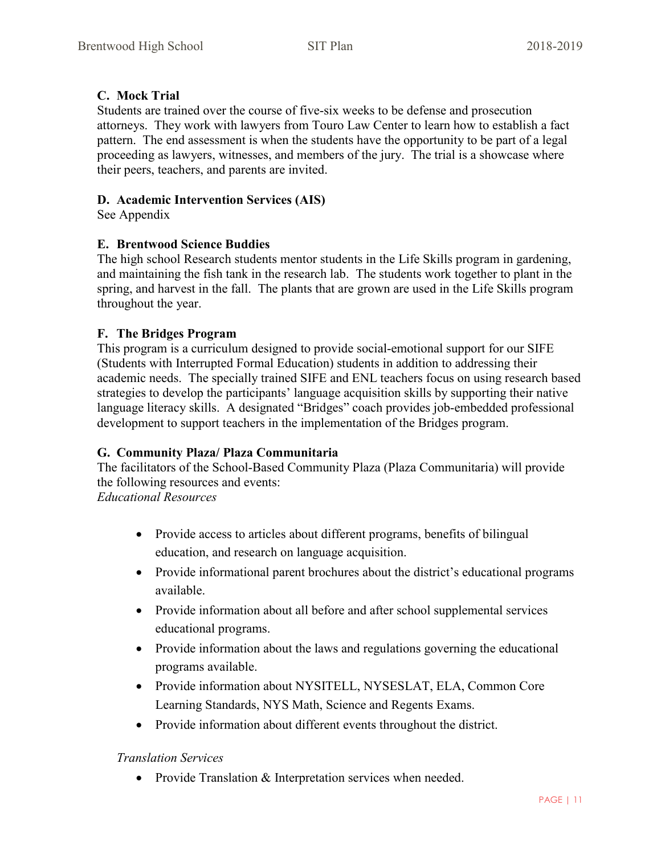## **C. Mock Trial**

Students are trained over the course of five-six weeks to be defense and prosecution attorneys. They work with lawyers from Touro Law Center to learn how to establish a fact pattern. The end assessment is when the students have the opportunity to be part of a legal proceeding as lawyers, witnesses, and members of the jury. The trial is a showcase where their peers, teachers, and parents are invited.

## **D. Academic Intervention Services (AIS)**

See Appendix

## **E. Brentwood Science Buddies**

The high school Research students mentor students in the Life Skills program in gardening, and maintaining the fish tank in the research lab. The students work together to plant in the spring, and harvest in the fall. The plants that are grown are used in the Life Skills program throughout the year.

## **F. The Bridges Program**

This program is a curriculum designed to provide social-emotional support for our SIFE (Students with Interrupted Formal Education) students in addition to addressing their academic needs. The specially trained SIFE and ENL teachers focus on using research based strategies to develop the participants' language acquisition skills by supporting their native language literacy skills. A designated "Bridges" coach provides job-embedded professional development to support teachers in the implementation of the Bridges program.

## **G. Community Plaza/ Plaza Communitaria**

The facilitators of the School-Based Community Plaza (Plaza Communitaria) will provide the following resources and events:

*Educational Resources*

- Provide access to articles about different programs, benefits of bilingual education, and research on language acquisition.
- Provide informational parent brochures about the district's educational programs available.
- Provide information about all before and after school supplemental services educational programs.
- Provide information about the laws and regulations governing the educational programs available.
- Provide information about NYSITELL, NYSESLAT, ELA, Common Core Learning Standards, NYS Math, Science and Regents Exams.
- Provide information about different events throughout the district.

## *Translation Services*

• Provide Translation & Interpretation services when needed.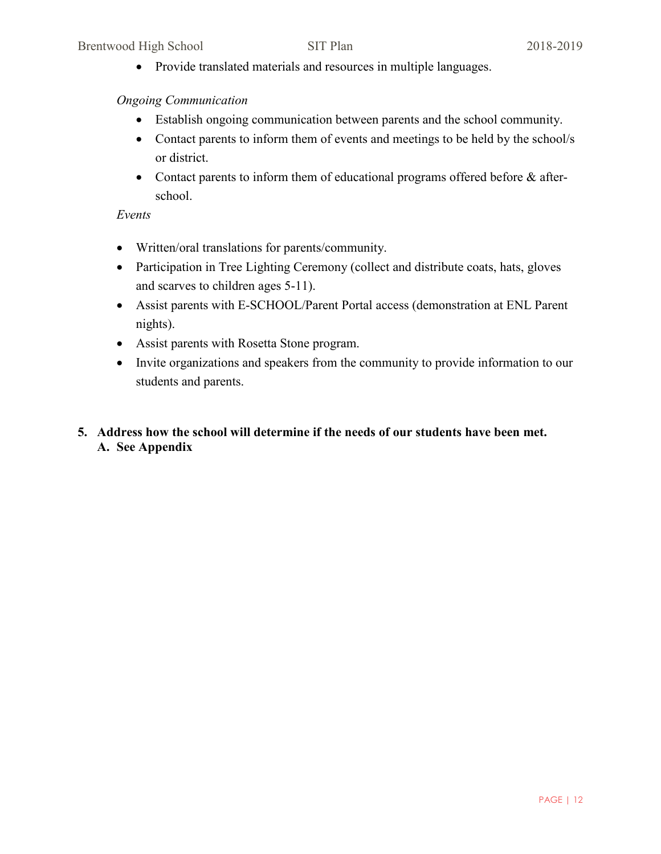• Provide translated materials and resources in multiple languages.

## *Ongoing Communication*

- Establish ongoing communication between parents and the school community.
- Contact parents to inform them of events and meetings to be held by the school/s or district.
- Contact parents to inform them of educational programs offered before & afterschool.

## *Events*

- Written/oral translations for parents/community.
- Participation in Tree Lighting Ceremony (collect and distribute coats, hats, gloves and scarves to children ages 5-11).
- Assist parents with E-SCHOOL/Parent Portal access (demonstration at ENL Parent nights).
- Assist parents with Rosetta Stone program.
- Invite organizations and speakers from the community to provide information to our students and parents.
- **5. Address how the school will determine if the needs of our students have been met. A. See Appendix**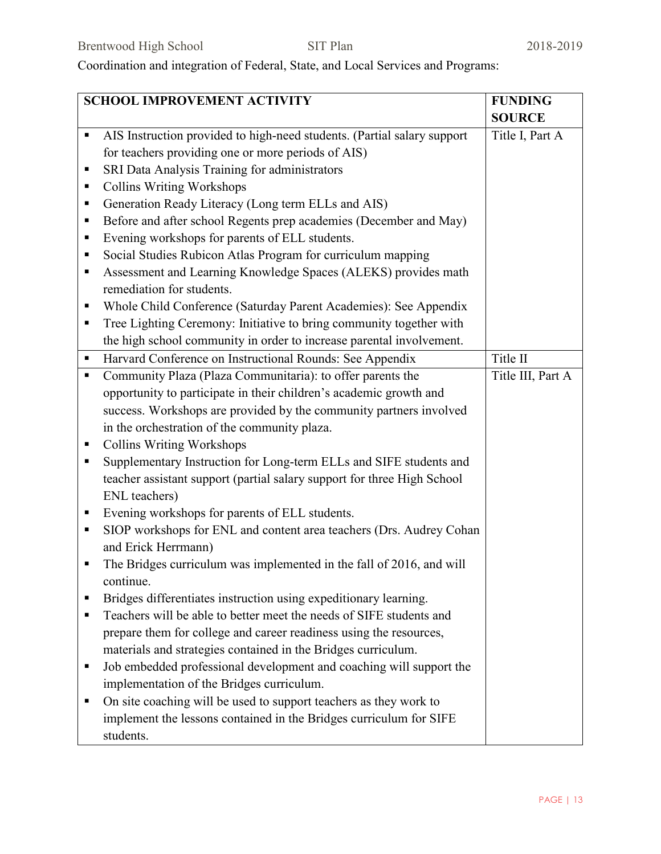Coordination and integration of Federal, State, and Local Services and Programs:

| SCHOOL IMPROVEMENT ACTIVITY |                                                                         | <b>FUNDING</b>    |
|-----------------------------|-------------------------------------------------------------------------|-------------------|
|                             |                                                                         | <b>SOURCE</b>     |
| П                           | AIS Instruction provided to high-need students. (Partial salary support | Title I, Part A   |
|                             | for teachers providing one or more periods of AIS)                      |                   |
| п                           | SRI Data Analysis Training for administrators                           |                   |
| п                           | <b>Collins Writing Workshops</b>                                        |                   |
| ٠                           | Generation Ready Literacy (Long term ELLs and AIS)                      |                   |
| ٠                           | Before and after school Regents prep academies (December and May)       |                   |
| п                           | Evening workshops for parents of ELL students.                          |                   |
| ٠                           | Social Studies Rubicon Atlas Program for curriculum mapping             |                   |
| ٠                           | Assessment and Learning Knowledge Spaces (ALEKS) provides math          |                   |
|                             | remediation for students.                                               |                   |
| п                           | Whole Child Conference (Saturday Parent Academies): See Appendix        |                   |
| ٠                           | Tree Lighting Ceremony: Initiative to bring community together with     |                   |
|                             | the high school community in order to increase parental involvement.    |                   |
| п                           | Harvard Conference on Instructional Rounds: See Appendix                | Title II          |
| ٠                           | Community Plaza (Plaza Communitaria): to offer parents the              | Title III, Part A |
|                             | opportunity to participate in their children's academic growth and      |                   |
|                             | success. Workshops are provided by the community partners involved      |                   |
|                             | in the orchestration of the community plaza.                            |                   |
| Е                           | <b>Collins Writing Workshops</b>                                        |                   |
| п                           | Supplementary Instruction for Long-term ELLs and SIFE students and      |                   |
|                             | teacher assistant support (partial salary support for three High School |                   |
|                             | ENL teachers)                                                           |                   |
| п                           | Evening workshops for parents of ELL students.                          |                   |
| п                           | SIOP workshops for ENL and content area teachers (Drs. Audrey Cohan     |                   |
|                             | and Erick Herrmann)                                                     |                   |
|                             | The Bridges curriculum was implemented in the fall of 2016, and will    |                   |
|                             | continue.                                                               |                   |
|                             | Bridges differentiates instruction using expeditionary learning.        |                   |
| п                           | Teachers will be able to better meet the needs of SIFE students and     |                   |
|                             | prepare them for college and career readiness using the resources,      |                   |
|                             | materials and strategies contained in the Bridges curriculum.           |                   |
| п                           | Job embedded professional development and coaching will support the     |                   |
|                             | implementation of the Bridges curriculum.                               |                   |
| п                           | On site coaching will be used to support teachers as they work to       |                   |
|                             | implement the lessons contained in the Bridges curriculum for SIFE      |                   |
|                             | students.                                                               |                   |